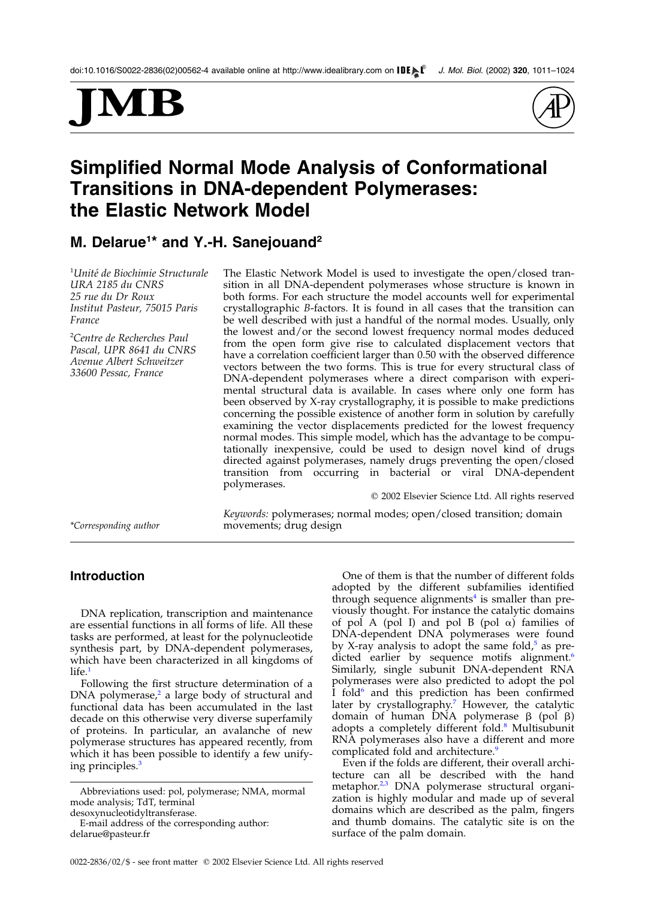



# Simplified Normal Mode Analysis of Conformational Transitions in DNA-dependent Polymerases: the Elastic Network Model

# M. Delarue<sup>1\*</sup> and Y.-H. Sanejouand<sup>2</sup>

<sup>1</sup>Unité de Biochimie Structurale URA 2185 du CNRS 25 rue du Dr Roux Institut Pasteur, 75015 Paris France

2 Centre de Recherches Paul Pascal, UPR 8641 du CNRS Avenue Albert Schweitzer 33600 Pessac, France

The Elastic Network Model is used to investigate the open/closed transition in all DNA-dependent polymerases whose structure is known in both forms. For each structure the model accounts well for experimental crystallographic B-factors. It is found in all cases that the transition can be well described with just a handful of the normal modes. Usually, only the lowest and/or the second lowest frequency normal modes deduced from the open form give rise to calculated displacement vectors that have a correlation coefficient larger than 0.50 with the observed difference vectors between the two forms. This is true for every structural class of DNA-dependent polymerases where a direct comparison with experimental structural data is available. In cases where only one form has been observed by X-ray crystallography, it is possible to make predictions concerning the possible existence of another form in solution by carefully examining the vector displacements predicted for the lowest frequency normal modes. This simple model, which has the advantage to be computationally inexpensive, could be used to design novel kind of drugs directed against polymerases, namely drugs preventing the open/closed transition from occurring in bacterial or viral DNA-dependent polymerases.

Keywords: polymerases; normal modes; open/closed transition; domain

 $©$  2002 Elsevier Science Ltd. All rights reserved

\*Corresponding author movements; drug design

# Introduction

DNA replication, transcription and maintenance are essential functions in all forms of life. All these tasks are performed, at least for the polynucleotide synthesis part, by DNA-dependent polymerases, which have been characterized in all kingdoms of life.<sup>[1](#page-11-0)</sup>

Following the first structure determination of a  $DNA$  polymerase, $2$  a large body of structural and functional data has been accumulated in the last decade on this otherwise very diverse superfamily of proteins. In particular, an avalanche of new polymerase structures has appeared recently, from which it has been possible to identify a few unifying principles.[3](#page-11-0)

One of them is that the number of different folds adopted by the different subfamilies identified through sequence alignments<sup>4</sup> is smaller than previously thought. For instance the catalytic domains of pol A (pol I) and pol B (pol  $\alpha$ ) families of DNA-dependent DNA polymerases were found by X-ray analysis to adopt the same fold, $5$  as pre-dicted earlier by sequence motifs alignment.<sup>[6](#page-11-0)</sup> Similarly, single subunit DNA-dependent RNA polymerases were also predicted to adopt the pol I fold $6$  and this prediction has been confirmed later by crystallography.<sup>[7](#page-11-0)</sup> However, the catalytic domain of human DNA polymerase  $\beta$  (pol  $\beta$ ) adopts a completely different fold.<sup>[8](#page-11-0)</sup> Multisubunit RNA polymerases also have a different and more complicated fold and architecture.<sup>[9](#page-11-0)</sup>

Even if the folds are different, their overall architecture can all be described with the hand metaphor.<sup>[2,3](#page-11-0)</sup> DNA polymerase structural organization is highly modular and made up of several domains which are described as the palm, fingers and thumb domains. The catalytic site is on the surface of the palm domain.

Abbreviations used: pol, polymerase; NMA, mormal mode analysis; TdT, terminal desoxynucleotidyltransferase.

E-mail address of the corresponding author: delarue@pasteur.fr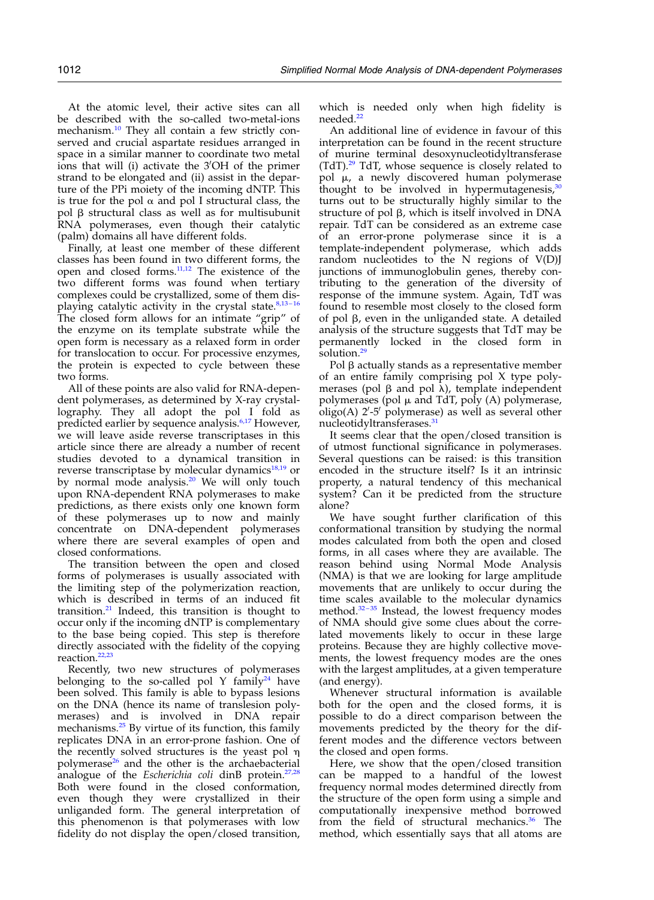At the atomic level, their active sites can all be described with the so-called two-metal-ions mechanism.<sup>[10](#page-11-0)</sup> They all contain a few strictly conserved and crucial aspartate residues arranged in space in a similar manner to coordinate two metal ions that will (i) activate the 3'OH of the primer strand to be elongated and (ii) assist in the departure of the PPi moiety of the incoming dNTP. This is true for the pol  $\alpha$  and pol I structural class, the pol  $\beta$  structural class as well as for multisubunit RNA polymerases, even though their catalytic (palm) domains all have different folds.

Finally, at least one member of these different classes has been found in two different forms, the open and closed forms[.11,12](#page-11-0) The existence of the two different forms was found when tertiary complexes could be crystallized, some of them displaying catalytic activity in the crystal state. $8,13-16$ The closed form allows for an intimate "grip" of the enzyme on its template substrate while the open form is necessary as a relaxed form in order for translocation to occur. For processive enzymes, the protein is expected to cycle between these two forms.

All of these points are also valid for RNA-dependent polymerases, as determined by X-ray crystallography. They all adopt the pol I fold as predicted earlier by sequence analysis.<sup>[6,17](#page-11-0)</sup> However, we will leave aside reverse transcriptases in this article since there are already a number of recent studies devoted to a dynamical transition in reverse transcriptase by molecular dynamics $18,19$  or by normal mode analysis.<sup>[20](#page-11-0)</sup> We will only touch upon RNA-dependent RNA polymerases to make predictions, as there exists only one known form of these polymerases up to now and mainly concentrate on DNA-dependent polymerases where there are several examples of open and closed conformations.

The transition between the open and closed forms of polymerases is usually associated with the limiting step of the polymerization reaction, which is described in terms of an induced fit transition. $21$  Indeed, this transition is thought to occur only if the incoming dNTP is complementary to the base being copied. This step is therefore directly associated with the fidelity of the copying reaction.<sup>[22,23](#page-11-0)</sup>

Recently, two new structures of polymerases belonging to the so-called pol Y family<sup>[24](#page-11-0)</sup> have been solved. This family is able to bypass lesions on the DNA (hence its name of translesion polymerases) and is involved in DNA repair mechanisms. $^{25}$  $^{25}$  $^{25}$  By virtue of its function, this family replicates DNA in an error-prone fashion. One of the recently solved structures is the yeast pol  $\eta$ polymerase<sup>[26](#page-11-0)</sup> and the other is the archaebacterial analogue of the *Escherichia coli* dinB protein.<sup>[27,28](#page-12-0)</sup> Both were found in the closed conformation, even though they were crystallized in their unliganded form. The general interpretation of this phenomenon is that polymerases with low fidelity do not display the open/closed transition,

which is needed only when high fidelity is needed.<sup>[22](#page-11-0)</sup>

An additional line of evidence in favour of this interpretation can be found in the recent structure of murine terminal desoxynucleotidyltransferase  $(TdT).<sup>29</sup> TdT$  $(TdT).<sup>29</sup> TdT$  $(TdT).<sup>29</sup> TdT$ , whose sequence is closely related to pol  $\mu$ , a newly discovered human polymerase thought to be involved in hypermutagenesis, $30$ turns out to be structurally highly similar to the structure of pol  $\beta$ , which is itself involved in DNA repair. TdT can be considered as an extreme case of an error-prone polymerase since it is a template-independent polymerase, which adds random nucleotides to the N regions of  $V(D)$ junctions of immunoglobulin genes, thereby contributing to the generation of the diversity of response of the immune system. Again, TdT was found to resemble most closely to the closed form of pol  $\beta$ , even in the unliganded state. A detailed analysis of the structure suggests that TdT may be permanently locked in the closed form in solution.<sup>29</sup>

Pol  $\beta$  actually stands as a representative member of an entire family comprising pol X type polymerases (pol  $\beta$  and pol  $\lambda$ ), template independent polymerases (pol  $\mu$  and TdT, poly (A) polymerase,  $\overline{\text{oligo}}(A)$  2'-5' polymerase) as well as several other nucleotidyltransferases.[31](#page-12-0)

It seems clear that the open/closed transition is of utmost functional significance in polymerases. Several questions can be raised: is this transition encoded in the structure itself? Is it an intrinsic property, a natural tendency of this mechanical system? Can it be predicted from the structure alone?

We have sought further clarification of this conformational transition by studying the normal modes calculated from both the open and closed forms, in all cases where they are available. The reason behind using Normal Mode Analysis (NMA) is that we are looking for large amplitude movements that are unlikely to occur during the time scales available to the molecular dynamics method. $32-35$  Instead, the lowest frequency modes of NMA should give some clues about the correlated movements likely to occur in these large proteins. Because they are highly collective movements, the lowest frequency modes are the ones with the largest amplitudes, at a given temperature (and energy).

Whenever structural information is available both for the open and the closed forms, it is possible to do a direct comparison between the movements predicted by the theory for the different modes and the difference vectors between the closed and open forms.

Here, we show that the open/closed transition can be mapped to a handful of the lowest frequency normal modes determined directly from the structure of the open form using a simple and computationally inexpensive method borrowed from the field of structural mechanics.<sup>[36](#page-12-0)</sup> The method, which essentially says that all atoms are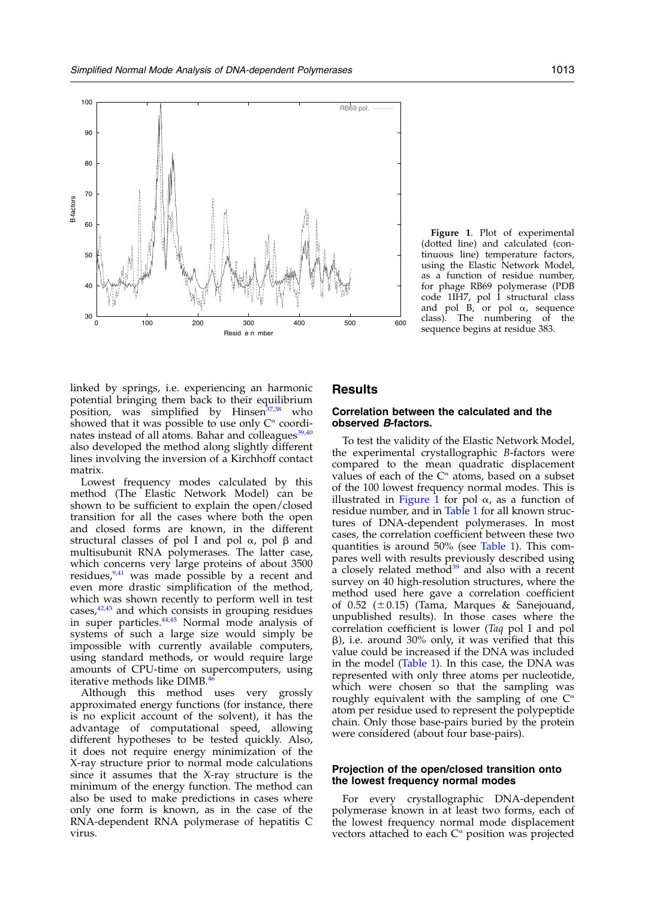

Figure 1. Plot of experimental (dotted line) and calculated (continuous line) temperature factors, using the Elastic Network Model, as a function of residue number, for phage RB69 polymerase (PDB code 1IH7, pol I structural class and pol B, or pol  $\alpha$ , sequence class). The numbering of the sequence begins at residue 383.

linked by springs, i.e. experiencing an harmonic potential bringing them back to their equilibrium position, was simplified by Hinsen $37,38$  who showed that it was possible to use only  $C^{\alpha}$  coordi-nates instead of all atoms. Bahar and colleagues<sup>[39,40](#page-12-0)</sup> also developed the method along slightly different lines involving the inversion of a Kirchhoff contact matrix.

Lowest frequency modes calculated by this method (The Elastic Network Model) can be shown to be sufficient to explain the open/closed transition for all the cases where both the open and closed forms are known, in the different structural classes of pol I and pol  $\alpha$ , pol  $\beta$  and multisubunit RNA polymerases. The latter case, which concerns very large proteins of about 3500 residues, $9,41$  was made possible by a recent and even more drastic simplification of the method, which was shown recently to perform well in test cases, $42,43$  and which consists in grouping residues in super particles[.44,45](#page-12-0) Normal mode analysis of systems of such a large size would simply be impossible with currently available computers, using standard methods, or would require large amounts of CPU-time on supercomputers, using iterative methods like DIMB.<sup>4</sup>

Although this method uses very grossly approximated energy functions (for instance, there is no explicit account of the solvent), it has the advantage of computational speed, allowing different hypotheses to be tested quickly. Also, it does not require energy minimization of the X-ray structure prior to normal mode calculations since it assumes that the X-ray structure is the minimum of the energy function. The method can also be used to make predictions in cases where only one form is known, as in the case of the RNA-dependent RNA polymerase of hepatitis C virus.

# **Results**

#### Correlation between the calculated and the observed B-factors.

To test the validity of the Elastic Network Model, the experimental crystallographic B-factors were compared to the mean quadratic displacement values of each of the  $C^{\alpha}$  atoms, based on a subset of the 100 lowest frequency normal modes. This is illustrated in Figure 1 for pol  $\alpha$ , as a function of residue number, and in [Table 1](#page-3-0) for all known structures of DNA-dependent polymerases. In most cases, the correlation coefficient between these two quantities is around 50% (see [Table 1\)](#page-3-0). This compares well with results previously described using a closely related method $39$  and also with a recent survey on 40 high-resolution structures, where the method used here gave a correlation coefficient of 0.52 ( $\pm$ 0.15) (Tama, Marques & Sanejouand, unpublished results). In those cases where the correlation coefficient is lower (Taq pol I and pol  $\beta$ ), i.e. around 30% only, it was verified that this value could be increased if the DNA was included in the model [\(Table 1](#page-3-0)). In this case, the DNA was represented with only three atoms per nucleotide, which were chosen so that the sampling was roughly equivalent with the sampling of one  $C^{\alpha}$ atom per residue used to represent the polypeptide chain. Only those base-pairs buried by the protein were considered (about four base-pairs).

#### Projection of the open/closed transition onto the lowest frequency normal modes

For every crystallographic DNA-dependent polymerase known in at least two forms, each of the lowest frequency normal mode displacement vectors attached to each  $C^{\alpha}$  position was projected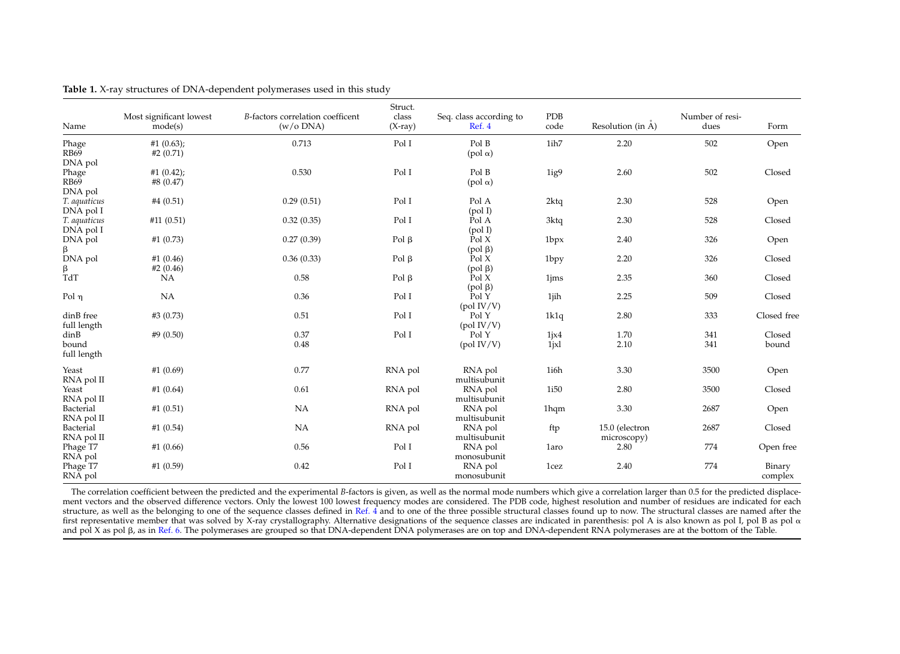| Name                                 | Most significant lowest<br>mode(s) | B-factors correlation coefficent<br>$(w/o$ DNA) | Struct.<br>class<br>$(X-ray)$ | Seq. class according to<br>Ref. 4 | <b>PDB</b><br>code  | Resolution (in A)             | Number of resi-<br>dues | Form              |
|--------------------------------------|------------------------------------|-------------------------------------------------|-------------------------------|-----------------------------------|---------------------|-------------------------------|-------------------------|-------------------|
| Phage<br>RB69<br>DNA pol             | $#1$ (0.63);<br>#2(0.71)           | 0.713                                           | Pol I                         | Pol B<br>$(pol \alpha)$           | 1ih7                | 2.20                          | 502                     | Open              |
| Phage<br>RB <sub>69</sub><br>DNA pol | $#1(0.42)$ ;<br>#8(0.47)           | 0.530                                           | Pol I                         | Pol B<br>$(\text{pol }\alpha)$    | 1ig9                | 2.60                          | 502                     | Closed            |
| T. aquaticus<br>DNA pol I            | #4 $(0.51)$                        | 0.29(0.51)                                      | Pol I                         | Pol A<br>(pol I)                  | 2k <sub>tq</sub>    | 2.30                          | 528                     | Open              |
| T. aquaticus<br>DNA pol I            | #11(0.51)                          | 0.32(0.35)                                      | Pol I                         | Pol A<br>(pol I)                  | 3ktq                | 2.30                          | 528                     | Closed            |
| DNA pol                              | #1 $(0.73)$                        | 0.27(0.39)                                      | Pol $\beta$                   | Pol X<br>$(pol \beta)$            | 1bpx                | 2.40                          | 326                     | Open              |
| DNA pol<br>ß                         | #1 $(0.46)$<br>#2 $(0.46)$         | 0.36(0.33)                                      | Pol $\beta$                   | Pol X<br>$(pol \beta)$            | 1bpy                | 2.20                          | 326                     | Closed            |
| TdT                                  | NA                                 | 0.58                                            | Pol $\beta$                   | Pol X<br>$(pol \beta)$            | 1 <sub>jms</sub>    | 2.35                          | 360                     | Closed            |
| Pol $\eta$                           | <b>NA</b>                          | 0.36                                            | Pol I                         | PolY<br>(pol IV/V)                | 1jih                | 2.25                          | 509                     | Closed            |
| dinB free<br>full length             | #3(0.73)                           | 0.51                                            | Pol I                         | Pol Y<br>(pol IV/V)               | 1k1q                | 2.80                          | 333                     | Closed free       |
| dinB<br>bound<br>full length         | #9 (0.50)                          | 0.37<br>0.48                                    | Pol I                         | Pol Y<br>(pol IV/V)               | 1jx4<br>$1$ j $x$ l | 1.70<br>2.10                  | 341<br>341              | Closed<br>bound   |
| Yeast<br>RNA pol II                  | #1 $(0.69)$                        | 0.77                                            | RNA pol                       | RNA pol<br>multisubunit           | 1i6h                | 3.30                          | 3500                    | Open              |
| Yeast<br>RNA pol II                  | #1 $(0.64)$                        | 0.61                                            | RNA pol                       | RNA pol<br>multisubunit           | 1i50                | 2.80                          | 3500                    | Closed            |
| Bacterial<br>RNA pol II              | #1(0.51)                           | <b>NA</b>                                       | RNA pol                       | RNA pol<br>multisubunit           | 1hqm                | 3.30                          | 2687                    | Open              |
| Bacterial<br>RNA pol II              | #1 $(0.54)$                        | <b>NA</b>                                       | RNA pol                       | RNA pol<br>multisubunit           | ftp                 | 15.0 (electron<br>microscopy) | 2687                    | Closed            |
| Phage T7<br>RNA pol                  | #1(0.66)                           | 0.56                                            | Pol I                         | RNA pol<br>monosubunit            | 1aro                | 2.80                          | 774                     | Open free         |
| Phage T7<br>RNA pol                  | #1(0.59)                           | 0.42                                            | Pol I                         | RNA pol<br>monosubunit            | 1cez                | 2.40                          | 774                     | Binary<br>complex |

<span id="page-3-0"></span>

| Table 1. X-ray structures of DNA-dependent polymerases used in this study |  |
|---------------------------------------------------------------------------|--|
|                                                                           |  |

The correlation coefficient between the predicted and the experimental B-factors is given, as well as the normal mode numbers which give a correlation larger than 0.5 for the predicted displacement vectors and the observed difference vectors. Only the lowest 100 lowest frequency modes are considered. The PDB code, highest resolution and number of residues are indicated for each structure, as well as the belonging to one of the sequence classes defined in [Ref.](#page-11-0) 4 and to one of the three possible structural classes found up to now. The structural classes are named after the first representative member that was solved by X-ray crystallography. Alternative designations of the sequence classes are indicated in parenthesis: pol A is also known as pol I, pol B as pol  $\alpha$ and pol  $X$  as pol  $\beta$ , as in [Ref.](#page-11-0) 6. The polymerases are grouped so that DNA-dependent DNA polymerases are on top and DNA-dependent RNA polymerases are at the bottom of the Table.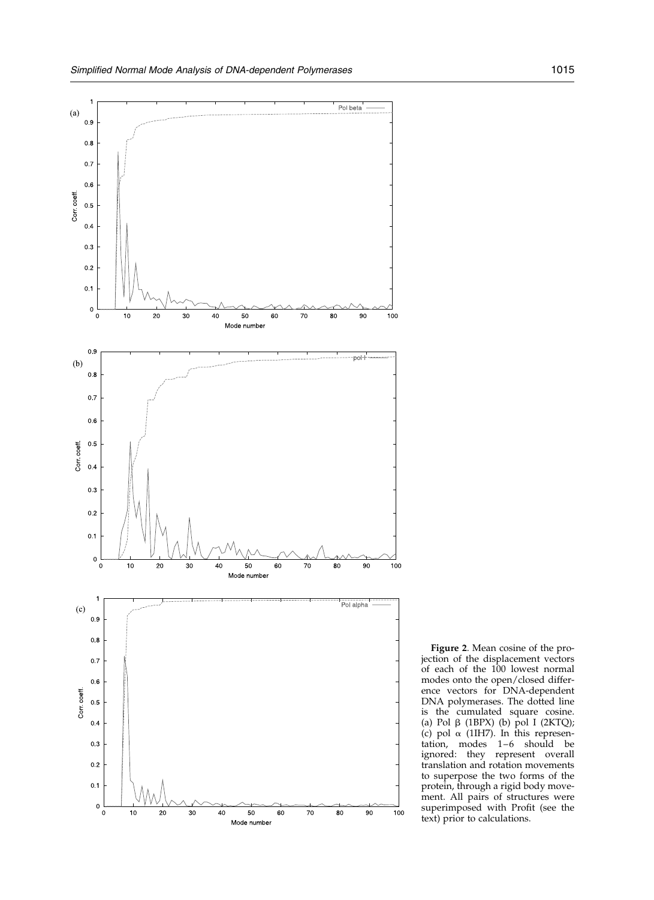<span id="page-4-0"></span>

Figure 2. Mean cosine of the projection of the displacement vectors of each of the 100 lowest normal modes onto the open/closed difference vectors for DNA-dependent DNA polymerases. The dotted line is the cumulated square cosine. (a) Pol  $\beta$  (1BPX) (b) pol I (2KTQ); (c) pol  $\alpha$  (1IH7). In this representation, modes 1–6 should be ignored: they represent overall translation and rotation movements to superpose the two forms of the protein, through a rigid body movement. All pairs of structures were superimposed with Profit (see the text) prior to calculations.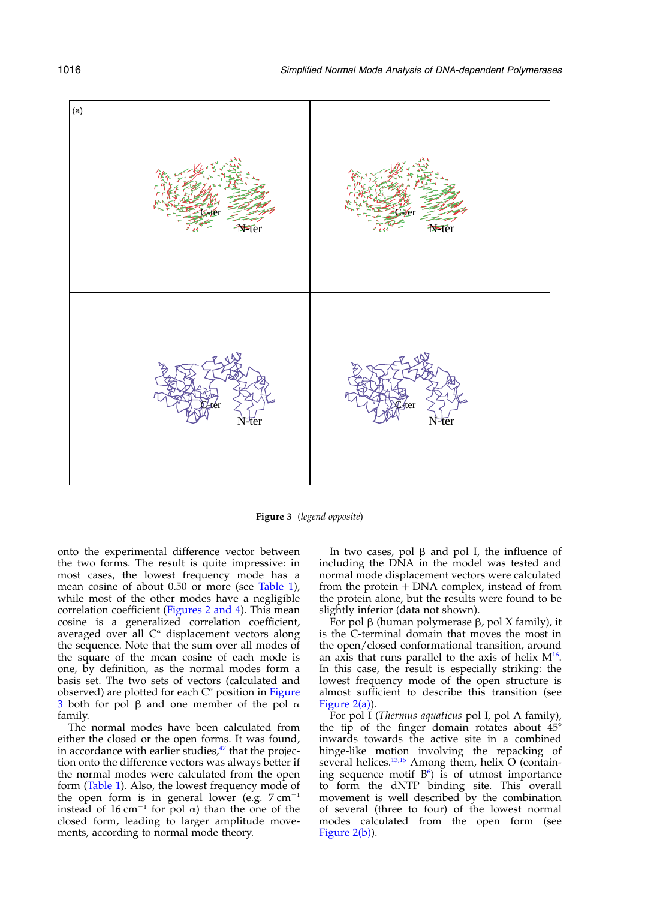

Figure 3 (legend opposite)

onto the experimental difference vector between the two forms. The result is quite impressive: in most cases, the lowest frequency mode has a mean cosine of about 0.50 or more (see [Table 1](#page-3-0)), while most of the other modes have a negligible correlation coefficient [\(Figures 2 and 4](#page-4-0)). This mean cosine is a generalized correlation coefficient, averaged over all  $C^{\alpha}$  displacement vectors along the sequence. Note that the sum over all modes of the square of the mean cosine of each mode is one, by definition, as the normal modes form a basis set. The two sets of vectors (calculated and observed) are plotted for each  $C^{\alpha}$  position in [Figure](#page-6-0) [3](#page-6-0) both for pol  $\beta$  and one member of the pol  $\alpha$ family.

The normal modes have been calculated from either the closed or the open forms. It was found, in accordance with earlier studies, $47$  that the projection onto the difference vectors was always better if the normal modes were calculated from the open form ([Table 1](#page-3-0)). Also, the lowest frequency mode of the open form is in general lower (e.g.  $7 \text{ cm}^{-1}$ instead of 16 cm<sup>-1</sup> for pol  $\alpha$ ) than the one of the closed form, leading to larger amplitude movements, according to normal mode theory.

In two cases, pol  $\beta$  and pol I, the influence of including the DNA in the model was tested and normal mode displacement vectors were calculated from the protein  $+$  DNA complex, instead of from the protein alone, but the results were found to be slightly inferior (data not shown).

For pol  $\beta$  (human polymerase  $\beta$ , pol X family), it is the C-terminal domain that moves the most in the open/closed conformational transition, around an axis that runs parallel to the axis of helix  $M^{16}$ . In this case, the result is especially striking: the lowest frequency mode of the open structure is almost sufficient to describe this transition (see [Figure 2\(a\)](#page-4-0)).

For pol I (Thermus aquaticus pol I, pol A family), the tip of the finger domain rotates about  $45^{\circ}$ inwards towards the active site in a combined hinge-like motion involving the repacking of several helices.<sup>[13,15](#page-11-0)</sup> Among them, helix O (containing sequence motif  $B<sup>6</sup>$  $B<sup>6</sup>$  $B<sup>6</sup>$ ) is of utmost importance to form the dNTP binding site. This overall movement is well described by the combination of several (three to four) of the lowest normal modes calculated from the open form (see [Figure 2\(b\)\)](#page-4-0).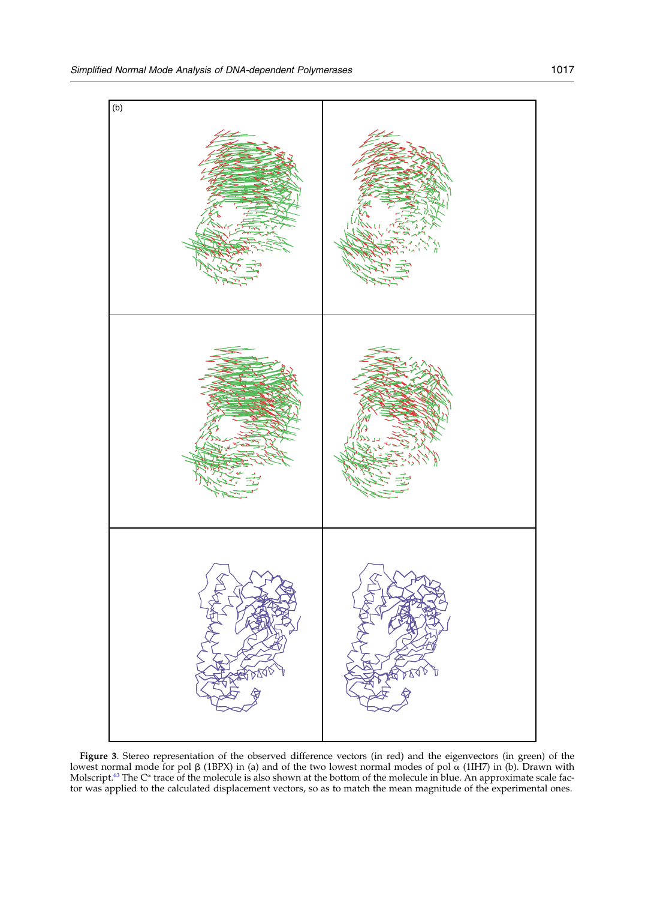<span id="page-6-0"></span>

Figure 3. Stereo representation of the observed difference vectors (in red) and the eigenvectors (in green) of the lowest normal mode for pol  $\beta$  (1BPX) in (a) and of the two lowest normal modes of pol  $\alpha$  (1IH7) in (b). Drawn with Molscript.<sup>[63](#page-13-0)</sup> The C<sup> $\alpha$ </sup> trace of the molecule is also shown at the bottom of the molecule in blue. An approximate scale factor was applied to the calculated displacement vectors, so as to match the mean magnitude of the experimental ones.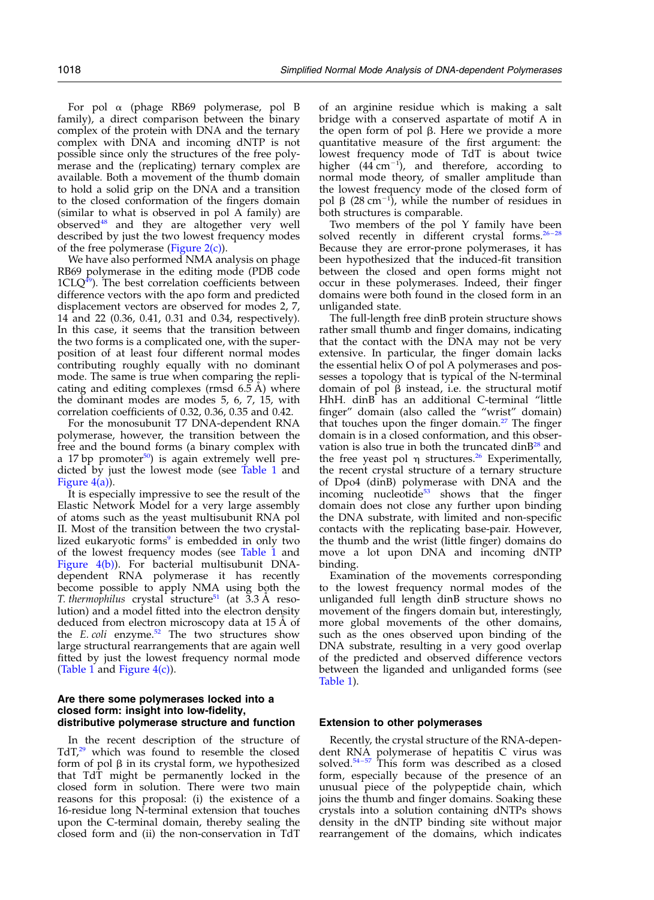For pol a (phage RB69 polymerase, pol B family), a direct comparison between the binary complex of the protein with DNA and the ternary complex with DNA and incoming dNTP is not possible since only the structures of the free polymerase and the (replicating) ternary complex are available. Both a movement of the thumb domain to hold a solid grip on the DNA and a transition to the closed conformation of the fingers domain (similar to what is observed in pol A family) are  $observed<sup>48</sup>$  and they are altogether very well described by just the two lowest frequency modes of the free polymerase (Figure  $2(c)$ ).

We have also performed NMA analysis on phage RB69 polymerase in the editing mode (PDB code  $1CLQ<sup>49</sup>$  $1CLQ<sup>49</sup>$  $1CLQ<sup>49</sup>$ . The best correlation coefficients between difference vectors with the apo form and predicted displacement vectors are observed for modes 2, 7, 14 and 22 (0.36, 0.41, 0.31 and 0.34, respectively). In this case, it seems that the transition between the two forms is a complicated one, with the superposition of at least four different normal modes contributing roughly equally with no dominant mode. The same is true when comparing the replicating and editing complexes (rmsd  $6.5 \text{ Å}$ ) where the dominant modes are modes 5, 6, 7, 15, with correlation coefficients of 0.32, 0.36, 0.35 and 0.42.

For the monosubunit T7 DNA-dependent RNA polymerase, however, the transition between the free and the bound forms (a binary complex with a 17 bp promoter<sup>50</sup>) is again extremely well predicted by just the lowest mode (see [Table 1](#page-3-0) and [Figure 4\(a\)\)](#page-8-0).

It is especially impressive to see the result of the Elastic Network Model for a very large assembly of atoms such as the yeast multisubunit RNA pol II. Most of the transition between the two crystallized eukaryotic forms $9$  is embedded in only two of the lowest frequency modes (see [Table 1](#page-3-0) and [Figure 4\(b\)](#page-8-0)). For bacterial multisubunit DNAdependent RNA polymerase it has recently become possible to apply NMA using both the T. thermophilus crystal structure<sup>51</sup> (at  $\widetilde{3}.\overline{3} \text{ Å}$  resolution) and a model fitted into the electron density deduced from electron microscopy data at 15 Å of the E. coli enzyme. $52$  The two structures show large structural rearrangements that are again well fitted by just the lowest frequency normal mode [\(Table 1](#page-3-0) and Figure  $4(c)$ ).

#### Are there some polymerases locked into a closed form: insight into low-fidelity, distributive polymerase structure and function

In the recent description of the structure of  $TdT<sub>1</sub><sup>29</sup>$  $TdT<sub>1</sub><sup>29</sup>$  $TdT<sub>1</sub><sup>29</sup>$  which was found to resemble the closed form of pol  $\beta$  in its crystal form, we hypothesized that TdT might be permanently locked in the closed form in solution. There were two main reasons for this proposal: (i) the existence of a 16-residue long N-terminal extension that touches upon the C-terminal domain, thereby sealing the closed form and (ii) the non-conservation in TdT

of an arginine residue which is making a salt bridge with a conserved aspartate of motif A in the open form of pol  $\beta$ . Here we provide a more quantitative measure of the first argument: the lowest frequency mode of TdT is about twice higher  $(44 \text{ cm}^{-1})$ , and therefore, according to normal mode theory, of smaller amplitude than the lowest frequency mode of the closed form of pol  $\beta$  (28 cm<sup>-1</sup>), while the number of residues in both structures is comparable.

Two members of the pol Y family have been solved recently in different crystal forms. $26 - 28$ Because they are error-prone polymerases, it has been hypothesized that the induced-fit transition between the closed and open forms might not occur in these polymerases. Indeed, their finger domains were both found in the closed form in an unliganded state.

The full-length free dinB protein structure shows rather small thumb and finger domains, indicating that the contact with the DNA may not be very extensive. In particular, the finger domain lacks the essential helix O of pol A polymerases and possesses a topology that is typical of the N-terminal domain of pol  $\beta$  instead, i.e. the structural motif HhH. dinB has an additional C-terminal "little finger" domain (also called the "wrist" domain) that touches upon the finger domain.<sup>[27](#page-12-0)</sup> The finger domain is in a closed conformation, and this observation is also true in both the truncated  $\dim B^{28}$  $\dim B^{28}$  $\dim B^{28}$  and the free yeast pol  $\eta$  structures.<sup>26</sup> Experimentally, the recent crystal structure of a ternary structure of Dpo4 (dinB) polymerase with DNA and the incoming nucleotide<sup>[53](#page-12-0)</sup> shows that the finger domain does not close any further upon binding the DNA substrate, with limited and non-specific contacts with the replicating base-pair. However, the thumb and the wrist (little finger) domains do move a lot upon DNA and incoming dNTP binding.

Examination of the movements corresponding to the lowest frequency normal modes of the unliganded full length dinB structure shows no movement of the fingers domain but, interestingly, more global movements of the other domains, such as the ones observed upon binding of the DNA substrate, resulting in a very good overlap of the predicted and observed difference vectors between the liganded and unliganded forms (see [Table 1](#page-3-0)).

#### Extension to other polymerases

Recently, the crystal structure of the RNA-dependent RNA polymerase of hepatitis C virus was solved.<sup>54–57</sup> This form was described as a closed form, especially because of the presence of an unusual piece of the polypeptide chain, which joins the thumb and finger domains. Soaking these crystals into a solution containing dNTPs shows density in the dNTP binding site without major rearrangement of the domains, which indicates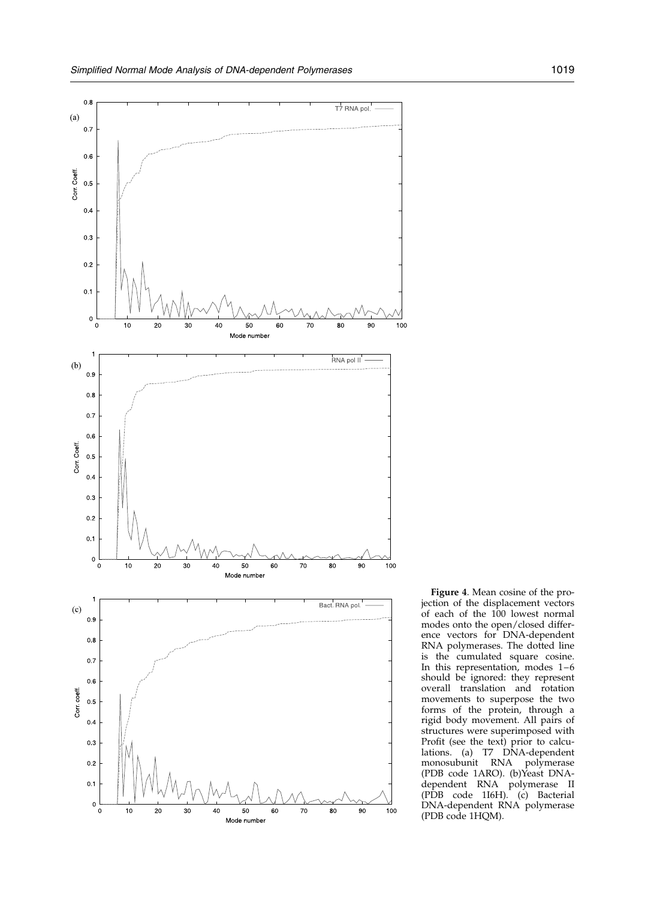<span id="page-8-0"></span>

Figure 4. Mean cosine of the projection of the displacement vectors of each of the 100 lowest normal modes onto the open/closed difference vectors for DNA-dependent RNA polymerases. The dotted line is the cumulated square cosine. In this representation, modes 1–6 should be ignored: they represent overall translation and rotation movements to superpose the two forms of the protein, through a rigid body movement. All pairs of structures were superimposed with Profit (see the text) prior to calculations. (a) T7 DNA-dependent monosubunit RNA polymerase (PDB code 1ARO). (b)Yeast DNAdependent RNA polymerase II (PDB code 1I6H). (c) Bacterial DNA-dependent RNA polymerase (PDB code 1HQM).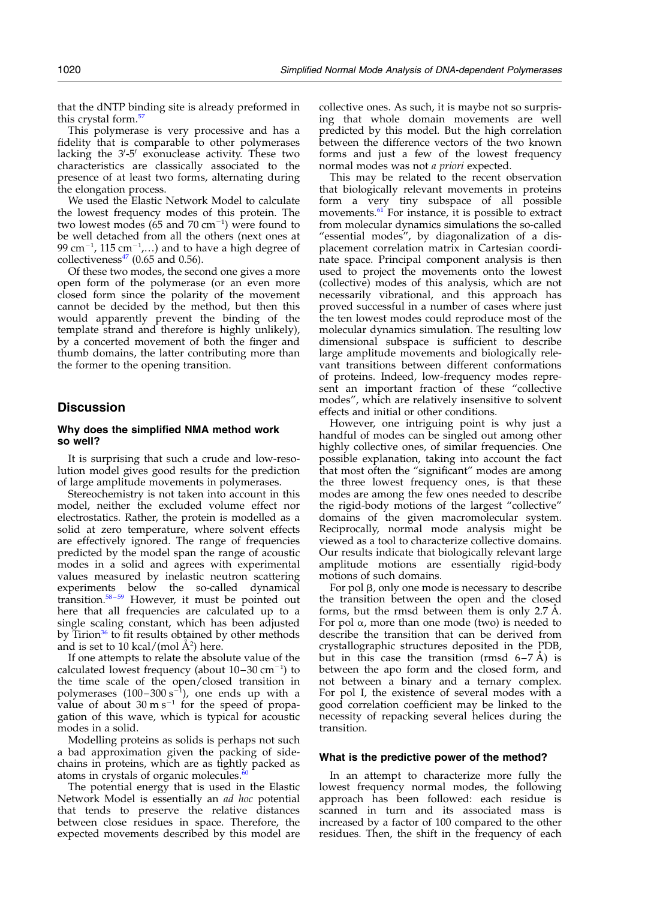that the dNTP binding site is already preformed in this crystal form.<sup>[57](#page-12-0)</sup>

This polymerase is very processive and has a fidelity that is comparable to other polymerases lacking the 3'-5' exonuclease activity. These two characteristics are classically associated to the presence of at least two forms, alternating during the elongation process.

We used the Elastic Network Model to calculate the lowest frequency modes of this protein. The two lowest modes ( $65$  and  $70 \text{ cm}^{-1}$ ) were found to be well detached from all the others (next ones at 99 cm $^{-1}$ , 115 cm $^{-1}$ ,...) and to have a high degree of collectiveness<sup> $47$ </sup> (0.65 and 0.56).

Of these two modes, the second one gives a more open form of the polymerase (or an even more closed form since the polarity of the movement cannot be decided by the method, but then this would apparently prevent the binding of the template strand and therefore is highly unlikely), by a concerted movement of both the finger and thumb domains, the latter contributing more than the former to the opening transition.

## **Discussion**

#### Why does the simplified NMA method work so well?

It is surprising that such a crude and low-resolution model gives good results for the prediction of large amplitude movements in polymerases.

Stereochemistry is not taken into account in this model, neither the excluded volume effect nor electrostatics. Rather, the protein is modelled as a solid at zero temperature, where solvent effects are effectively ignored. The range of frequencies predicted by the model span the range of acoustic modes in a solid and agrees with experimental values measured by inelastic neutron scattering experiments below the so-called dynamical transition.<sup>58-59</sup> However, it must be pointed out here that all frequencies are calculated up to a single scaling constant, which has been adjusted by Tirion<sup>[36](#page-12-0)</sup> to fit results obtained by other methods and is set to 10 kcal/(mol  $\AA^2$ ) here.

If one attempts to relate the absolute value of the calculated lowest frequency (about  $10-30$  cm<sup>-1</sup>) to the time scale of the open/closed transition in polymerases  $(100-300 \text{ s}^{-1})$ , one ends up with a value of about  $30 \text{ m s}^{-1}$  for the speed of propagation of this wave, which is typical for acoustic modes in a solid.

Modelling proteins as solids is perhaps not such a bad approximation given the packing of sidechains in proteins, which are as tightly packed as atoms in crystals of organic molecules. $60$ 

The potential energy that is used in the Elastic Network Model is essentially an ad hoc potential that tends to preserve the relative distances between close residues in space. Therefore, the expected movements described by this model are

collective ones. As such, it is maybe not so surprising that whole domain movements are well predicted by this model. But the high correlation between the difference vectors of the two known forms and just a few of the lowest frequency normal modes was not a priori expected.

This may be related to the recent observation that biologically relevant movements in proteins form a very tiny subspace of all possible movements. $^{61}$  $^{61}$  $^{61}$  For instance, it is possible to extract from molecular dynamics simulations the so-called "essential modes", by diagonalization of a displacement correlation matrix in Cartesian coordinate space. Principal component analysis is then used to project the movements onto the lowest (collective) modes of this analysis, which are not necessarily vibrational, and this approach has proved successful in a number of cases where just the ten lowest modes could reproduce most of the molecular dynamics simulation. The resulting low dimensional subspace is sufficient to describe large amplitude movements and biologically relevant transitions between different conformations of proteins. Indeed, low-frequency modes represent an important fraction of these "collective modes", which are relatively insensitive to solvent effects and initial or other conditions.

However, one intriguing point is why just a handful of modes can be singled out among other highly collective ones, of similar frequencies. One possible explanation, taking into account the fact that most often the "significant" modes are among the three lowest frequency ones, is that these modes are among the few ones needed to describe the rigid-body motions of the largest "collective" domains of the given macromolecular system. Reciprocally, normal mode analysis might be viewed as a tool to characterize collective domains. Our results indicate that biologically relevant large amplitude motions are essentially rigid-body motions of such domains.

For pol  $\beta$ , only one mode is necessary to describe the transition between the open and the closed forms, but the rmsd between them is only 2.7 A. For pol  $\alpha$ , more than one mode (two) is needed to describe the transition that can be derived from crystallographic structures deposited in the PDB, but in this case the transition (rmsd  $6-7$  Å) is between the apo form and the closed form, and not between a binary and a ternary complex. For pol I, the existence of several modes with a good correlation coefficient may be linked to the necessity of repacking several helices during the transition.

#### What is the predictive power of the method?

In an attempt to characterize more fully the lowest frequency normal modes, the following approach has been followed: each residue is scanned in turn and its associated mass is increased by a factor of 100 compared to the other residues. Then, the shift in the frequency of each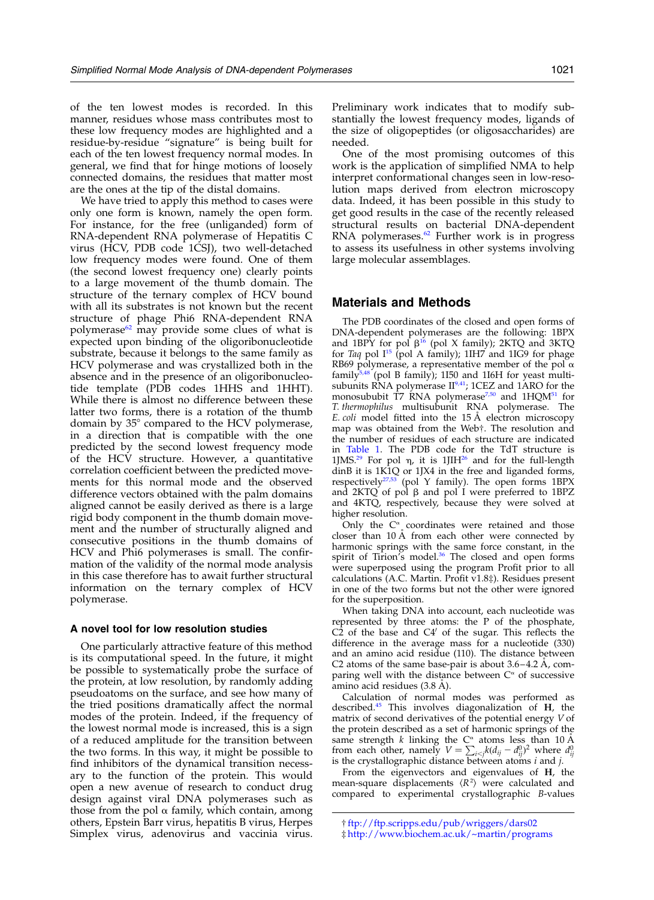of the ten lowest modes is recorded. In this manner, residues whose mass contributes most to these low frequency modes are highlighted and a residue-by-residue "signature" is being built for each of the ten lowest frequency normal modes. In general, we find that for hinge motions of loosely connected domains, the residues that matter most are the ones at the tip of the distal domains.

We have tried to apply this method to cases were only one form is known, namely the open form. For instance, for the free (unliganded) form of RNA-dependent RNA polymerase of Hepatitis C virus (HCV, PDB code 1CSJ), two well-detached low frequency modes were found. One of them (the second lowest frequency one) clearly points to a large movement of the thumb domain. The structure of the ternary complex of HCV bound with all its substrates is not known but the recent structure of phage Phi6 RNA-dependent RNA polymerase $62$  may provide some clues of what is expected upon binding of the oligoribonucleotide substrate, because it belongs to the same family as HCV polymerase and was crystallized both in the absence and in the presence of an oligoribonucleotide template (PDB codes 1HHS and 1HHT). While there is almost no difference between these latter two forms, there is a rotation of the thumb domain by 35° compared to the HCV polymerase, in a direction that is compatible with the one predicted by the second lowest frequency mode of the HCV structure. However, a quantitative correlation coefficient between the predicted movements for this normal mode and the observed difference vectors obtained with the palm domains aligned cannot be easily derived as there is a large rigid body component in the thumb domain movement and the number of structurally aligned and consecutive positions in the thumb domains of HCV and Phi6 polymerases is small. The confirmation of the validity of the normal mode analysis in this case therefore has to await further structural information on the ternary complex of HCV polymerase.

#### A novel tool for low resolution studies

One particularly attractive feature of this method is its computational speed. In the future, it might be possible to systematically probe the surface of the protein, at low resolution, by randomly adding pseudoatoms on the surface, and see how many of the tried positions dramatically affect the normal modes of the protein. Indeed, if the frequency of the lowest normal mode is increased, this is a sign of a reduced amplitude for the transition between the two forms. In this way, it might be possible to find inhibitors of the dynamical transition necessary to the function of the protein. This would open a new avenue of research to conduct drug design against viral DNA polymerases such as those from the pol  $\alpha$  family, which contain, among others, Epstein Barr virus, hepatitis B virus, Herpes Simplex virus, adenovirus and vaccinia virus. Preliminary work indicates that to modify substantially the lowest frequency modes, ligands of the size of oligopeptides (or oligosaccharides) are needed.

One of the most promising outcomes of this work is the application of simplified NMA to help interpret conformational changes seen in low-resolution maps derived from electron microscopy data. Indeed, it has been possible in this study to get good results in the case of the recently released structural results on bacterial DNA-dependent RNA polymerases. $62$  Further work is in progress to assess its usefulness in other systems involving large molecular assemblages.

#### Materials and Methods

The PDB coordinates of the closed and open forms of DNA-dependent polymerases are the following: 1BPX and 1BPY for pol  $\beta^{16}$  $\beta^{16}$  $\beta^{16}$  (pol X family); 2KTQ and 3KTQ for Taq pol  $I^{15}$  (pol A family); 1IH7 and 1IG9 for phage RB69 polymerase, a representative member of the pol  $\alpha$  $family^{5,48}$  (pol B family); 1I50 and 1I6H for yeast multisubunits RNA polymerase  $II^{9,41}$ ; 1CEZ and 1ARO for the monosububit T7 RNA polymerase<sup>[7,50](#page-11-0)</sup> and 1HQM<sup>51</sup> for T. thermophilus multisubunit RNA polymerase. The E. coli model fitted into the  $15 \text{ Å}$  electron microscopy map was obtained from the Web†. The resolution and the number of residues of each structure are indicated in [Table 1.](#page-3-0) The PDB code for the TdT structure is 1JMS.<sup>[29](#page-12-0)</sup> For pol  $\eta$ , it is 1JIH<sup>[26](#page-11-0)</sup> and for the full-length dinB it is 1K1Q or 1JX4 in the free and liganded forms, respectively<sup>[27,53](#page-12-0)</sup> (pol Y family). The open forms  $1BPX$ and  $2KTQ$  of pol  $\beta$  and pol I were preferred to  $1BPZ$ and 4KTQ, respectively, because they were solved at higher resolution.

Only the  $C^{\alpha}$  coordinates were retained and those closer than 10 Å from each other were connected by harmonic springs with the same force constant, in the spirit of Tirion's model.<sup>[36](#page-12-0)</sup> The closed and open forms were superposed using the program Profit prior to all calculations (A.C. Martin. Profit v1.8‡). Residues present in one of the two forms but not the other were ignored for the superposition.

When taking DNA into account, each nucleotide was represented by three atoms: the P of the phosphate,  $C<sub>2</sub>$  of the base and  $C<sub>4</sub>$  of the sugar. This reflects the difference in the average mass for a nucleotide (330) and an amino acid residue (110). The distance between C2 atoms of the same base-pair is about  $3.6-4.2$  A, comparing well with the distance between  $C^{\alpha}$  of successive amino acid residues  $(3.8 \text{ Å})$ .

Calculation of normal modes was performed as described.[45](#page-12-0) This involves diagonalization of H, the matrix of second derivatives of the potential energy V of the protein described as a set of harmonic springs of the same strength *k* linking the C<sup> $\alpha$ </sup> atoms less than 10 Å from each other, namely  $V = \sum_{i < j} k(d_{ij} - d_{ij}^{0})^2$  where  $d_{ij}^{0}$ is the crystallographic distance between atoms  $i$  and  $j$ .

From the eigenvectors and eigenvalues of H, the mean-square displacements  $\langle R^2 \rangle$  were calculated and compared to experimental crystallographic B-values

<sup>†</sup> <ftp://ftp.scripps.edu/pub/wriggers/dars02> ‡ <http://www.biochem.ac.uk/~martin/programs>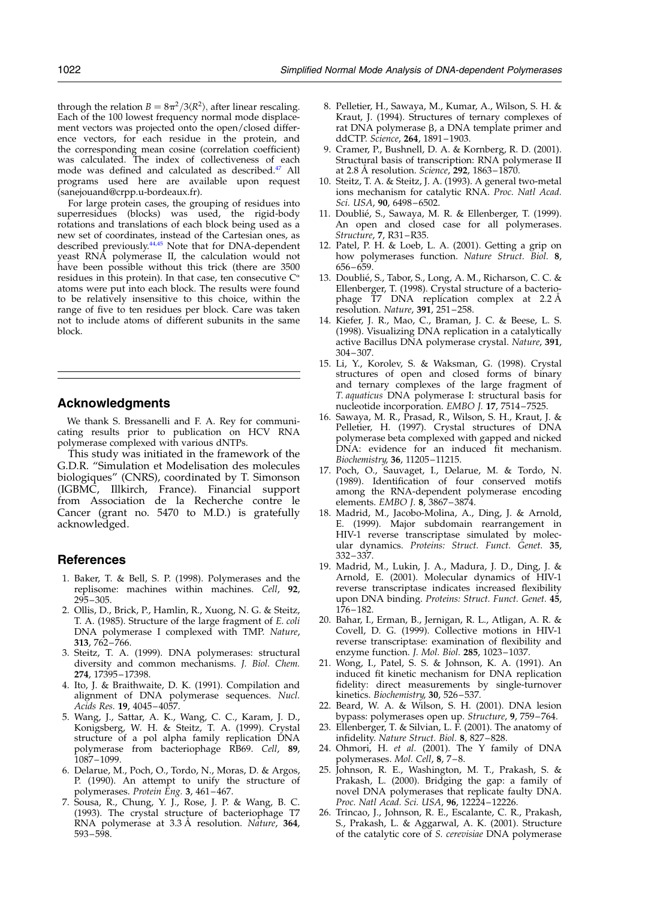<span id="page-11-0"></span>through the relation  $B = 8\pi^2/3\langle R^2 \rangle$ , after linear rescaling. Each of the 100 lowest frequency normal mode displacement vectors was projected onto the open/closed difference vectors, for each residue in the protein, and the corresponding mean cosine (correlation coefficient) was calculated. The index of collectiveness of each mode was defined and calculated as described.<sup>[47](#page-12-0)</sup> All programs used here are available upon request (sanejouand@crpp.u-bordeaux.fr).

For large protein cases, the grouping of residues into superresidues (blocks) was used, the rigid-body rotations and translations of each block being used as a new set of coordinates, instead of the Cartesian ones, as described previously.[44,45](#page-12-0) Note that for DNA-dependent yeast RNA polymerase II, the calculation would not have been possible without this trick (there are 3500 residues in this protein). In that case, ten consecutive  $C^{\alpha}$ atoms were put into each block. The results were found to be relatively insensitive to this choice, within the range of five to ten residues per block. Care was taken not to include atoms of different subunits in the same block.

# Acknowledgments

We thank S. Bressanelli and F. A. Rey for communicating results prior to publication on HCV RNA polymerase complexed with various dNTPs.

This study was initiated in the framework of the G.D.R. "Simulation et Modelisation des molecules biologiques" (CNRS), coordinated by T. Simonson (IGBMC, Illkirch, France). Financial support from Association de la Recherche contre le Cancer (grant no. 5470 to M.D.) is gratefully acknowledged.

# References

- 1. Baker, T. & Bell, S. P. (1998). Polymerases and the replisome: machines within machines. Cell, 92,  $295 - 305$ .
- 2. Ollis, D., Brick, P., Hamlin, R., Xuong, N. G. & Steitz, T. A. (1985). Structure of the large fragment of E. coli DNA polymerase I complexed with TMP. Nature, 313, 762–766.
- 3. Steitz, T. A. (1999). DNA polymerases: structural diversity and common mechanisms. J. Biol. Chem. 274, 17395–17398.
- 4. Ito, J. & Braithwaite, D. K. (1991). Compilation and alignment of DNA polymerase sequences. Nucl. Acids Res. 19, 4045–4057.
- 5. Wang, J., Sattar, A. K., Wang, C. C., Karam, J. D., Konigsberg, W. H. & Steitz, T. A. (1999). Crystal structure of a pol alpha family replication DNA polymerase from bacteriophage RB69. Cell, 89, 1087–1099.
- 6. Delarue, M., Poch, O., Tordo, N., Moras, D. & Argos, P. (1990). An attempt to unify the structure of polymerases. Protein Eng. 3, 461–467.
- 7. Sousa, R., Chung, Y. J., Rose, J. P. & Wang, B. C. (1993). The crystal structure of bacteriophage T7 RNA polymerase at 3.3 A resolution. Nature, 364, 593–598.
- 8. Pelletier, H., Sawaya, M., Kumar, A., Wilson, S. H. & Kraut, J. (1994). Structures of ternary complexes of rat DNA polymerase  $\beta$ , a DNA template primer and ddCTP. Science, 264, 1891–1903.
- 9. Cramer, P., Bushnell, D. A. & Kornberg, R. D. (2001). Structural basis of transcription: RNA polymerase II at 2.8 Å resolution. Science, 292, 1863-1870.
- 10. Steitz, T. A. & Steitz, J. A. (1993). A general two-metal ions mechanism for catalytic RNA. Proc. Natl Acad. Sci. USA, 90, 6498–6502.
- 11. Doublié, S., Sawaya, M. R. & Ellenberger, T. (1999). An open and closed case for all polymerases. Structure, 7, R31–R35.
- 12. Patel, P. H. & Loeb, L. A. (2001). Getting a grip on how polymerases function. Nature Struct. Biol. 8, 656–659.
- 13. Doublié, S., Tabor, S., Long, A. M., Richarson, C. C. & Ellenberger, T. (1998). Crystal structure of a bacterio-<br>phage T7 DNA replication complex at 2.2 Å resolution. Nature, 391, 251–258.
- 14. Kiefer, J. R., Mao, C., Braman, J. C. & Beese, L. S. (1998). Visualizing DNA replication in a catalytically active Bacillus DNA polymerase crystal. Nature, 391, 304–307.
- 15. Li, Y., Korolev, S. & Waksman, G. (1998). Crystal structures of open and closed forms of binary and ternary complexes of the large fragment of T. aquaticus DNA polymerase I: structural basis for nucleotide incorporation. EMBO J. 17, 7514–7525.
- 16. Sawaya, M. R., Prasad, R., Wilson, S. H., Kraut, J. & Pelletier, H. (1997). Crystal structures of DNA polymerase beta complexed with gapped and nicked DNA: evidence for an induced fit mechanism. Biochemistry, 36, 11205–11215.
- 17. Poch, O., Sauvaget, I., Delarue, M. & Tordo, N. (1989). Identification of four conserved motifs among the RNA-dependent polymerase encoding elements. EMBO J. 8, 3867–3874.
- 18. Madrid, M., Jacobo-Molina, A., Ding, J. & Arnold, E. (1999). Major subdomain rearrangement in HIV-1 reverse transcriptase simulated by molecular dynamics. Proteins: Struct. Funct. Genet. 35, 332–337.
- 19. Madrid, M., Lukin, J. A., Madura, J. D., Ding, J. & Arnold, E. (2001). Molecular dynamics of HIV-1 reverse transcriptase indicates increased flexibility upon DNA binding. Proteins: Struct. Funct. Genet. 45, 176–182.
- 20. Bahar, I., Erman, B., Jernigan, R. L., Atligan, A. R. & Covell, D. G. (1999). Collective motions in HIV-1 reverse transcriptase: examination of flexibility and enzyme function. J. Mol. Biol. 285, 1023–1037.
- 21. Wong, I., Patel, S. S. & Johnson, K. A. (1991). An induced fit kinetic mechanism for DNA replication fidelity: direct measurements by single-turnover kinetics. Biochemistry, 30, 526–537.
- 22. Beard, W. A. & Wilson, S. H. (2001). DNA lesion bypass: polymerases open up. Structure, 9, 759–764.
- 23. Ellenberger, T. & Silvian, L. F. (2001). The anatomy of infidelity. Nature Struct. Biol. 8, 827–828.
- 24. Ohmori, H. et al. (2001). The Y family of DNA polymerases. Mol. Cell, 8, 7–8.
- 25. Johnson, R. E., Washington, M. T., Prakash, S. & Prakash, L. (2000). Bridging the gap: a family of novel DNA polymerases that replicate faulty DNA. Proc. Natl Acad. Sci. USA, 96, 12224-12226.
- 26. Trincao, J., Johnson, R. E., Escalante, C. R., Prakash, S., Prakash, L. & Aggarwal, A. K. (2001). Structure of the catalytic core of S. cerevisiae DNA polymerase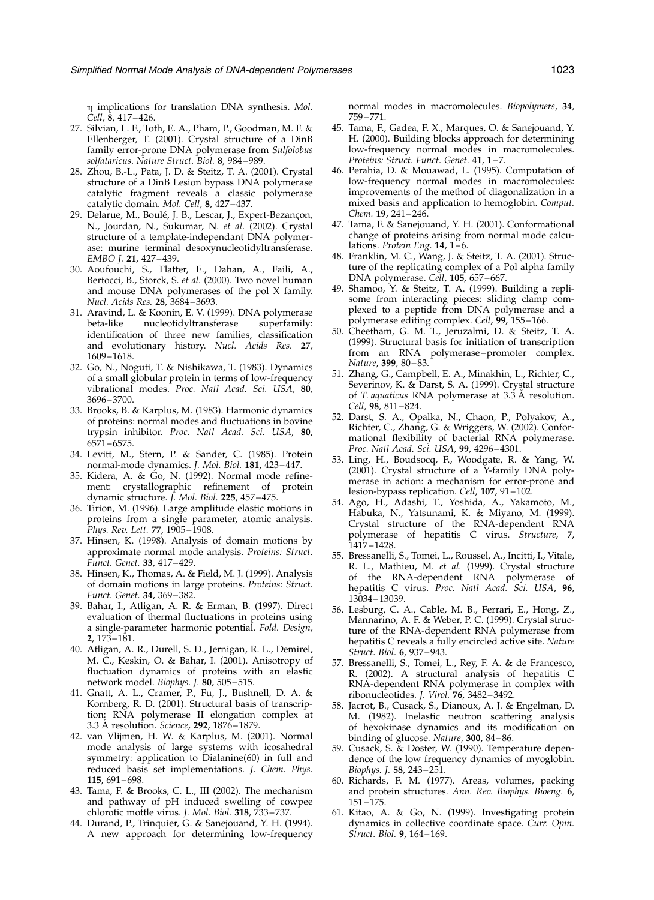<span id="page-12-0"></span> $η$  implications for translation DNA synthesis. Mol. Cell, 8, 417–426.

- 27. Silvian, L. F., Toth, E. A., Pham, P., Goodman, M. F. & Ellenberger, T. (2001). Crystal structure of a DinB family error-prone DNA polymerase from Sulfolobus solfataricus. Nature Struct. Biol. 8, 984–989.
- 28. Zhou, B.-L., Pata, J. D. & Steitz, T. A. (2001). Crystal structure of a DinB Lesion bypass DNA polymerase catalytic fragment reveals a classic polymerase catalytic domain. Mol. Cell, 8, 427–437.
- 29. Delarue, M., Boulé, J. B., Lescar, J., Expert-Bezançon, N., Jourdan, N., Sukumar, N. et al. (2002). Crystal structure of a template-independant DNA polymerase: murine terminal desoxynucleotidyltransferase. EMBO J. 21, 427–439.
- 30. Aoufouchi, S., Flatter, E., Dahan, A., Faili, A., Bertocci, B., Storck, S. et al. (2000). Two novel human and mouse DNA polymerases of the pol X family. Nucl. Acids Res. 28, 3684–3693.
- 31. Aravind, L. & Koonin, E. V. (1999). DNA polymerase beta-like nucleotidyltransferase superfamily: identification of three new families, classification and evolutionary history. Nucl. Acids Res. 27, 1609–1618.
- 32. Go, N., Noguti, T. & Nishikawa, T. (1983). Dynamics of a small globular protein in terms of low-frequency vibrational modes. Proc. Natl Acad. Sci. USA, 80, 3696–3700.
- 33. Brooks, B. & Karplus, M. (1983). Harmonic dynamics of proteins: normal modes and fluctuations in bovine trypsin inhibitor. Proc. Natl Acad. Sci. USA, 80, 6571–6575.
- 34. Levitt, M., Stern, P. & Sander, C. (1985). Protein normal-mode dynamics. J. Mol. Biol. 181, 423–447.
- 35. Kidera, A. & Go, N. (1992). Normal mode refinement: crystallographic refinement of protein dynamic structure. *J. Mol. Biol.* 225, 457-475.
- 36. Tirion, M. (1996). Large amplitude elastic motions in proteins from a single parameter, atomic analysis. Phys. Rev. Lett. 77, 1905–1908.
- 37. Hinsen, K. (1998). Analysis of domain motions by approximate normal mode analysis. Proteins: Struct. Funct. Genet. 33, 417–429.
- 38. Hinsen, K., Thomas, A. & Field, M. J. (1999). Analysis of domain motions in large proteins. Proteins: Struct. Funct. Genet. 34, 369–382.
- 39. Bahar, I., Atligan, A. R. & Erman, B. (1997). Direct evaluation of thermal fluctuations in proteins using a single-parameter harmonic potential. Fold. Design, 2, 173–181.
- 40. Atligan, A. R., Durell, S. D., Jernigan, R. L., Demirel, M. C., Keskin, O. & Bahar, I. (2001). Anisotropy of fluctuation dynamics of proteins with an elastic network model. Biophys. J. 80, 505–515.
- 41. Gnatt, A. L., Cramer, P., Fu, J., Bushnell, D. A. & Kornberg, R. D. (2001). Structural basis of transcription: RNA polymerase II elongation complex at 3.3 Å resolution. Science, 292, 1876-1879.
- 42. van Vlijmen, H. W. & Karplus, M. (2001). Normal mode analysis of large systems with icosahedral symmetry: application to Dialanine(60) in full and reduced basis set implementations. J. Chem. Phys. 115, 691–698.
- 43. Tama, F. & Brooks, C. L., III (2002). The mechanism and pathway of pH induced swelling of cowpee chlorotic mottle virus. J. Mol. Biol. 318, 733–737.
- 44. Durand, P., Trinquier, G. & Sanejouand, Y. H. (1994). A new approach for determining low-frequency

normal modes in macromolecules. Biopolymers, 34, 759–771.

- 45. Tama, F., Gadea, F. X., Marques, O. & Sanejouand, Y. H. (2000). Building blocks approach for determining low-frequency normal modes in macromolecules. Proteins: Struct. Funct. Genet. 41, 1–7.
- 46. Perahia, D. & Mouawad, L. (1995). Computation of low-frequency normal modes in macromolecules: improvements of the method of diagonalization in a mixed basis and application to hemoglobin. Comput. Chem. 19, 241–246.
- 47. Tama, F. & Sanejouand, Y. H. (2001). Conformational change of proteins arising from normal mode calculations. Protein Eng. 14, 1–6.
- 48. Franklin, M. C., Wang, J. & Steitz, T. A. (2001). Structure of the replicating complex of a Pol alpha family DNA polymerase. Cell, 105, 657–667.
- 49. Shamoo, Y. & Steitz, T. A. (1999). Building a replisome from interacting pieces: sliding clamp complexed to a peptide from DNA polymerase and a polymerase editing complex. Cell, 99, 155-166.
- 50. Cheetham, G. M. T., Jeruzalmi, D. & Steitz, T. A. (1999). Structural basis for initiation of transcription from an RNA polymerase–promoter complex. Nature, 399, 80–83.
- 51. Zhang, G., Campbell, E. A., Minakhin, L., Richter, C., Severinov, K. & Darst, S. A. (1999). Crystal structure of T. aquaticus RNA polymerase at  $3.\overline{3}$  Å resolution. Cell, 98, 811–824.
- 52. Darst, S. A., Opalka, N., Chaon, P., Polyakov, A., Richter, C., Zhang, G. & Wriggers, W. (2002). Conformational flexibility of bacterial RNA polymerase. Proc. Natl Acad. Sci. USA, 99, 4296–4301.
- 53. Ling, H., Boudsocq, F., Woodgate, R. & Yang, W. (2001). Crystal structure of a Y-family DNA polymerase in action: a mechanism for error-prone and lesion-bypass replication. Cell, 107, 91-102.
- 54. Ago, H., Adashi, T., Yoshida, A., Yakamoto, M., Habuka, N., Yatsunami, K. & Miyano, M. (1999). Crystal structure of the RNA-dependent RNA polymerase of hepatitis C virus. Structure, 7, 1417–1428.
- 55. Bressanelli, S., Tomei, L., Roussel, A., Incitti, I., Vitale, R. L., Mathieu, M. et al. (1999). Crystal structure of the RNA-dependent RNA polymerase of hepatitis C virus. Proc. Natl Acad. Sci. USA, 96, 13034–13039.
- 56. Lesburg, C. A., Cable, M. B., Ferrari, E., Hong, Z., Mannarino, A. F. & Weber, P. C. (1999). Crystal structure of the RNA-dependent RNA polymerase from hepatitis C reveals a fully encircled active site. Nature Struct. Biol. 6, 937–943.
- 57. Bressanelli, S., Tomei, L., Rey, F. A. & de Francesco, R. (2002). A structural analysis of hepatitis C RNA-dependent RNA polymerase in complex with ribonucleotides. J. Virol. 76, 3482–3492.
- 58. Jacrot, B., Cusack, S., Dianoux, A. J. & Engelman, D. M. (1982). Inelastic neutron scattering analysis of hexokinase dynamics and its modification on binding of glucose. Nature, 300, 84–86.
- 59. Cusack, S. & Doster, W. (1990). Temperature dependence of the low frequency dynamics of myoglobin. Biophys. J. 58, 243–251.
- 60. Richards, F. M. (1977). Areas, volumes, packing and protein structures. Ann. Rev. Biophys. Bioeng. 6, 151–175.
- 61. Kitao, A. & Go, N. (1999). Investigating protein dynamics in collective coordinate space. Curr. Opin. Struct. Biol. 9, 164–169.